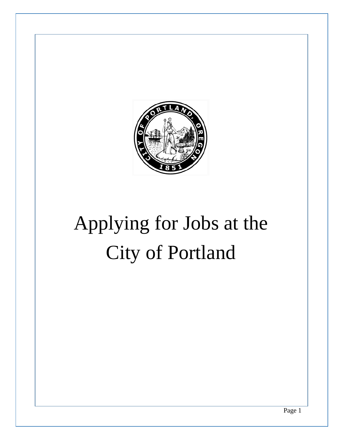

# Applying for Jobs at the City of Portland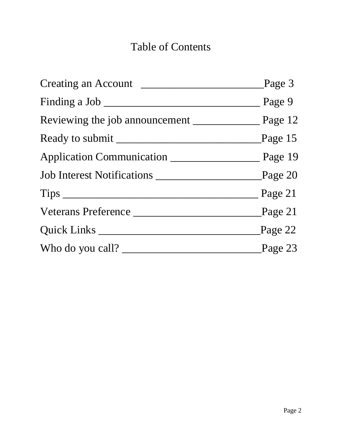# Table of Contents

|                  | Page 3    |
|------------------|-----------|
|                  | Page 9    |
|                  |           |
|                  | Page $15$ |
|                  |           |
|                  |           |
|                  | Page 21   |
|                  | Page $21$ |
| Quick Links      | Page $22$ |
| Who do you call? | Page 23   |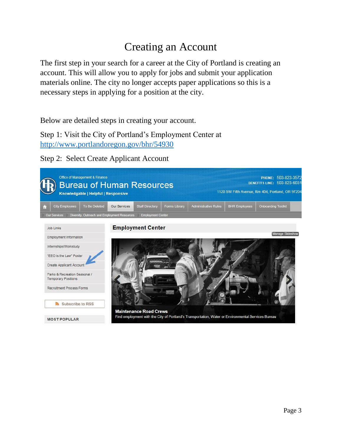# Creating an Account

<span id="page-2-0"></span>The first step in your search for a career at the City of Portland is creating an account. This will allow you to apply for jobs and submit your application materials online. The city no longer accepts paper applications so this is a necessary steps in applying for a position at the city.

Below are detailed steps in creating your account.

Step 1: Visit the City of Portland's Employment Center at <http://www.portlandoregon.gov/bhr/54930>

Step 2: Select Create Applicant Account

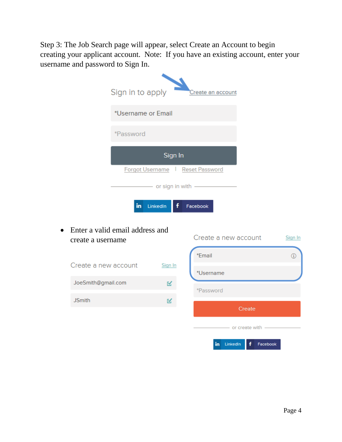Step 3: The Job Search page will appear, select Create an Account to begin creating your applicant account. Note: If you have an existing account, enter your username and password to Sign In.

|           |                      | Sign in to apply                |                     | Create an account                |               |
|-----------|----------------------|---------------------------------|---------------------|----------------------------------|---------------|
|           |                      | *Username or Email              |                     |                                  |               |
|           |                      | *Password                       |                     |                                  |               |
|           |                      |                                 | Sign In             |                                  |               |
|           |                      |                                 |                     | Forgot Username   Reset Password |               |
|           |                      |                                 | - or sign in with - |                                  |               |
|           |                      | $\mathbf{in}$                   | LinkedIn<br>f       | Facebook                         |               |
| $\bullet$ |                      | Enter a valid email address and |                     |                                  |               |
|           | create a username    |                                 |                     | Create a new account             | Sign In       |
|           |                      |                                 |                     | *Email                           | $\circled{f}$ |
|           | Create a new account |                                 | Sign In             | *Username                        |               |
|           | JoeSmith@gmail.com   |                                 | К                   | *Password                        |               |
|           | <b>JSmith</b>        |                                 | K                   |                                  |               |
|           |                      |                                 |                     | Create                           |               |
|           |                      |                                 |                     | — or create with -               |               |
|           |                      |                                 |                     |                                  |               |

in LinkedIn

Facebook

Ŧ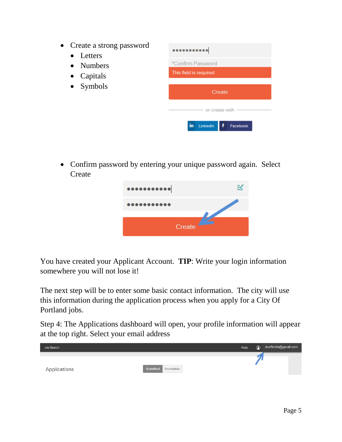- Create a strong password
	- Letters
	- Numbers
	- Capitals
	- Symbols



 Confirm password by entering your unique password again. Select Create



You have created your Applicant Account. **TIP**: Write your login information somewhere you will not lose it!

The next step will be to enter some basic contact information. The city will use this information during the application process when you apply for a City Of Portland jobs.

Step 4: The Applications dashboard will open, your profile information will appear at the top right. Select your email address

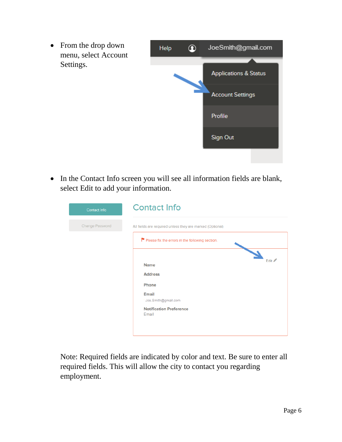

 In the Contact Info screen you will see all information fields are blank, select Edit to add your information.

| Contact Info    | <b>Contact Info</b>                                                                                                                |
|-----------------|------------------------------------------------------------------------------------------------------------------------------------|
| Change Password | All fields are required unless they are marked (Optional)                                                                          |
|                 | Please fix the errors in the following section.                                                                                    |
|                 | Edit A<br><b>Name</b><br><b>Address</b><br>Phone<br><b>Email</b><br>Joe.Smith@gmail.com<br><b>Notification Preference</b><br>Email |

Note: Required fields are indicated by color and text. Be sure to enter all required fields. This will allow the city to contact you regarding employment.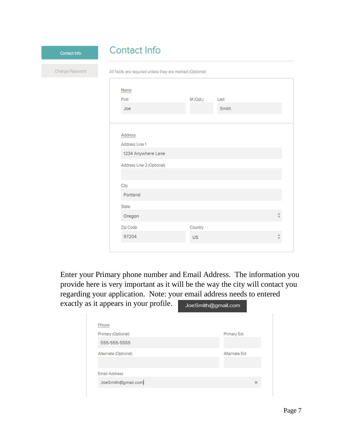| Contact Info    | <b>Contact Info</b>                                       |           |               |  |
|-----------------|-----------------------------------------------------------|-----------|---------------|--|
| Change Password | All fields are required unless they are marked (Optional) |           |               |  |
|                 | Name                                                      |           |               |  |
|                 | First<br>Joe                                              | M (Opt.)  | Last<br>Smith |  |
|                 |                                                           |           |               |  |
|                 | Address<br>Address Line 1                                 |           |               |  |
|                 | 1234 Anywhere Lane<br>Address Line 2 (Optional)           |           |               |  |
|                 |                                                           |           |               |  |
|                 | City<br>Portland                                          |           |               |  |
|                 | State<br>Oregon                                           |           |               |  |
|                 | Zip Code                                                  | Country   |               |  |
|                 | 97204                                                     | <b>US</b> |               |  |

Enter your Primary phone number and Email Address. The information you provide here is very important as it will be the way the city will contact you regarding your application. Note: your email address needs to entered exactly as it appears in your profile. JoeSmith@qmail.com

| . .<br>ັ<br>$\mathbf{r}$ |               |
|--------------------------|---------------|
|                          |               |
| <b>Phone</b>             |               |
| Primary (Optional)       | Primary Ext   |
| 555-555-5555             |               |
| Alternate (Optional)     | Alternate Ext |
|                          |               |
| <b>Email Address</b>     |               |
| JoeSmith@gmail.com       | ×             |
|                          |               |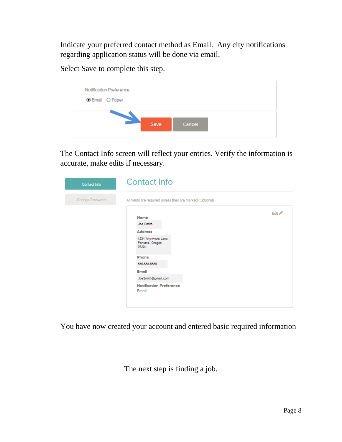Indicate your preferred contact method as Email. Any city notifications regarding application status will be done via email.

Select Save to complete this step.



The Contact Info screen will reflect your entries. Verify the information is accurate, make edits if necessary.

| Contact Info                                                                 | <b>Contact Info</b>                                                                                                                                                                       |        |  |
|------------------------------------------------------------------------------|-------------------------------------------------------------------------------------------------------------------------------------------------------------------------------------------|--------|--|
| Change Password<br>All fields are required unless they are marked (Optional) |                                                                                                                                                                                           |        |  |
|                                                                              | Name<br>Joe Smith<br><b>Address</b><br>1234 Anywhere Lane<br>Portland, Oregon<br>97204<br>Phone<br>555-555-5555<br>Email<br>JoeSmith@gmail.com<br><b>Notification Preference</b><br>Email | Edit / |  |

You have now created your account and entered basic required information

The next step is finding a job.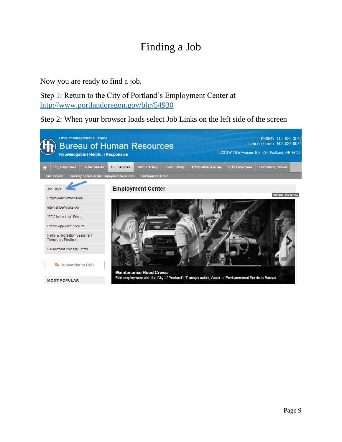# Finding a Job

Now you are ready to find a job.

Step 1: Return to the City of Portland's Employment Center at <http://www.portlandoregon.gov/bhr/54930>

Step 2: When your browser loads select Job Links on the left side of the screen

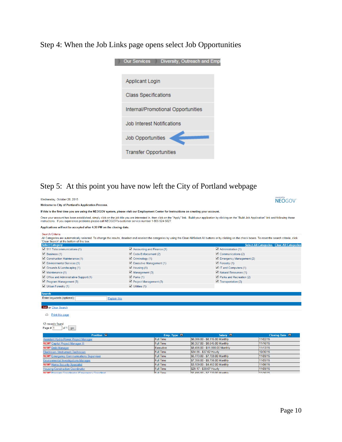Step 4: When the Job Links page opens select Job Opportunities



### Step 5: At this point you have now left the City of Portland webpage

| Wednesday, October 28, 2015                                                                                                                                                                                                                                          |                                                  |                                                    | <b>NEOGOV</b>                                     |  |
|----------------------------------------------------------------------------------------------------------------------------------------------------------------------------------------------------------------------------------------------------------------------|--------------------------------------------------|----------------------------------------------------|---------------------------------------------------|--|
| <b>Welcome to City of Portland's Application Process.</b>                                                                                                                                                                                                            |                                                  |                                                    |                                                   |  |
| If this is the first time you are using the NEOGOV system, please visit our Employment Center for instructions on creating your account.                                                                                                                             |                                                  |                                                    |                                                   |  |
| Once your account has been established, simply click on the job title you are interested in, then click on the "Apply" link. Build your application by clicking on the "Build Job Application" link and following those                                              |                                                  |                                                    |                                                   |  |
| instructions. If you experience problems please call NEOGOV's customer service number 1-855-524-5627.                                                                                                                                                                |                                                  |                                                    |                                                   |  |
| Applications will not be accepted after 4:30 PM on the closing date.                                                                                                                                                                                                 |                                                  |                                                    |                                                   |  |
| Search Criteria                                                                                                                                                                                                                                                      |                                                  |                                                    |                                                   |  |
| All Categories are automatically selected. To change the results, deselect and reselect the categories by using the Clear All/Select All buttons or by clicking on the check boxes. To reset the search criteria, click<br>'Clear Search' at the bottom of this box. |                                                  |                                                    |                                                   |  |
| <b>Select Category</b>                                                                                                                                                                                                                                               |                                                  |                                                    | <b>Select All Categories Clear All Categories</b> |  |
| 911 Telecommunications (1)                                                                                                                                                                                                                                           | $\blacktriangleright$ Accounting and Finance (1) | $\triangleleft$ Administration (1)                 |                                                   |  |
| $\triangledown$ Business (1)                                                                                                                                                                                                                                         | Code Enforcement (2)                             | $\triangle$ Communications (2)                     |                                                   |  |
| Construction Maintenance (1)                                                                                                                                                                                                                                         | $\triangledown$ Criminology (1)                  | $\blacksquare$ Emergency Management (2)            |                                                   |  |
| Environmental Services (1)                                                                                                                                                                                                                                           | Executive Management (1)                         | $\blacksquare$ Forestry (1)                        |                                                   |  |
| Grounds & Landscaping (1)                                                                                                                                                                                                                                            | $\blacktriangleright$ Housing (1)                | IT and Computers (1)                               |                                                   |  |
| $\blacktriangleright$ Maintenance (1)                                                                                                                                                                                                                                | $\blacksquare$ Management (3)                    | Natural Resources (1)                              |                                                   |  |
| Office and Administrative Support (1)                                                                                                                                                                                                                                | $\triangledown$ Parks (1)                        | $\blacktriangleright$ Parks and Recreation (2)     |                                                   |  |
| $\triangledown$ Program Management (3)                                                                                                                                                                                                                               | $\blacktriangleright$ Project Management (3)     | $\blacktriangleright$ Transportation (2)           |                                                   |  |
| $\blacksquare$ Urban Forestry (1)                                                                                                                                                                                                                                    | $\triangledown$ Utilities (1)                    |                                                    |                                                   |  |
|                                                                                                                                                                                                                                                                      |                                                  |                                                    |                                                   |  |
| <b>Search</b><br>Enter keywords (optional):                                                                                                                                                                                                                          |                                                  |                                                    |                                                   |  |
|                                                                                                                                                                                                                                                                      | <b>Explain this</b>                              |                                                    |                                                   |  |
| Go) or Clear Search                                                                                                                                                                                                                                                  |                                                  |                                                    |                                                   |  |
|                                                                                                                                                                                                                                                                      |                                                  |                                                    |                                                   |  |
| 邑<br>Print this page                                                                                                                                                                                                                                                 |                                                  |                                                    |                                                   |  |
|                                                                                                                                                                                                                                                                      |                                                  |                                                    |                                                   |  |
| 12 records found.                                                                                                                                                                                                                                                    |                                                  |                                                    |                                                   |  |
| Page # $ 1$<br>of $1$ go                                                                                                                                                                                                                                             |                                                  |                                                    |                                                   |  |
|                                                                                                                                                                                                                                                                      |                                                  |                                                    |                                                   |  |
| <b>Position</b> $\Box$<br>Assistant Hydro Power Project Manager                                                                                                                                                                                                      | Emp. Type $\blacksquare$<br><b>Full Time</b>     | Salary <b>N</b><br>\$6,066.00 - \$8,115.00 Monthly | Closing Date <b>E</b><br>11/02/15                 |  |
| <b>NEW!</b> Capital Project Manager III                                                                                                                                                                                                                              | <b>Full Time</b>                                 | \$6.357.00 - \$8.545.00 Monthly                    | 11/16/15                                          |  |
| <b>NEW!</b> Debt Manager                                                                                                                                                                                                                                             | Executive                                        | \$8,496.00 - \$11,866.00 Monthly                   | 11/13/15                                          |  |
| Electrician / Instrument Technician                                                                                                                                                                                                                                  | <b>Full Time</b>                                 | \$34.86 - \$37.62 Hourly                           | 10/30/15                                          |  |
| <b>NEW!</b> Emergency Communications Supervisor                                                                                                                                                                                                                      | <b>Full Time</b>                                 | \$5,773.00 - \$7,708.00 Monthly                    | 11/09/15                                          |  |
| <b>Environmental Investigations Manager</b>                                                                                                                                                                                                                          | <b>Full Time</b>                                 | \$7,356.00 - \$9,796.00 Monthly                    | 11/09/15                                          |  |
| <b>NEW!</b> Home Security Specialist                                                                                                                                                                                                                                 | <b>Full Time</b>                                 | \$3,109.00 - \$4,452.00 Monthly                    | 11/06/15                                          |  |
| <b>Housing Construction Coordinator</b>                                                                                                                                                                                                                              | <b>Full Time</b>                                 | \$29.17 - \$38.67 Hourly                           | 11/09/15                                          |  |
| <b>NEW!</b> Program Coordinator (Emergency Coordinat                                                                                                                                                                                                                 | Full Time                                        | \$5.496.00 - \$7.330.00 Monthly                    | 11/16/15                                          |  |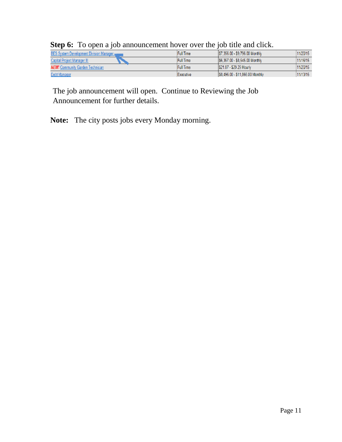| <b>BES System Development Division Manager</b> , | <b>Full Time</b> | \$7,356.00 - \$9,796.00 Monthly  | 11/20/15  |
|--------------------------------------------------|------------------|----------------------------------|-----------|
| <b>Capital Project Manager III</b>               | <b>Full Time</b> | S6.357.00 - \$8.545.00 Monthly   | 111/16/15 |
| <b>NEW!</b> Community Garden Technician          | <b>Full Time</b> | S21.87 - \$29.29 Hourly          | 111/20/15 |
| <b>Debt Manager</b>                              | Executive        | \$8,496.00 - \$11,866.00 Monthly | 11/13/15  |

### **Step 6:** To open a job announcement hover over the job title and click.

The job announcement will open. Continue to Reviewing the Job Announcement for further details.

**Note:** The city posts jobs every Monday morning.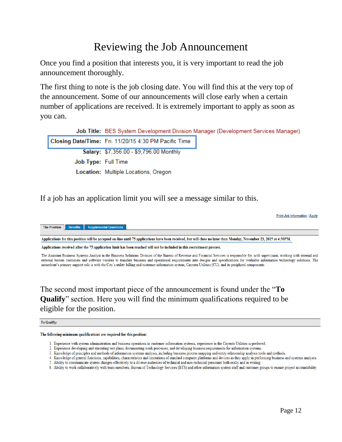### Reviewing the Job Announcement

Once you find a position that interests you, it is very important to read the job announcement thoroughly.

The first thing to note is the job closing date. You will find this at the very top of the announcement. Some of our announcements will close early when a certain number of applications are received. It is extremely important to apply as soon as you can.

|                     | Job Title: BES System Development Division Manager (Development Services Manager) |  |
|---------------------|-----------------------------------------------------------------------------------|--|
|                     | Closing Date/Time: Fri. 11/20/15 4:30 PM Pacific Time                             |  |
|                     | Salary: \$7,356.00 - \$9,796.00 Monthly                                           |  |
| Job Type: Full Time |                                                                                   |  |
|                     | Location: Multiple Locations, Oregon                                              |  |

If a job has an application limit you will see a message similar to this.

**Print Job Information | Apply** 

The Position **Supplemental Questic** 

Applications for this position will be accepted on-line until 75 applications have been received, but will close no later than Monday, November 23, 2015 at 4:30PM.

Applications received after the 75 application limit has been reached will not be included in this recruitment process.

The Assistant Business Systems Analyst in the Business Solutions Division of the Bureau of Revenue and Financial Services is responsible for, with supervision, working with internal and external bureau customers and software vendors to translate business and operational requirements into designs and specifications for workable information technology solutions. The incumbent's primary support role is with the City's utility billing and customer information system, Cayenta Utilities (CU), and its peripheral components

The second most important piece of the announcement is found under the "**To Qualify**" section. Here you will find the minimum qualifications required to be eligible for the position.

#### To Qualify:

#### The following minimum qualifications are required for this position:

- 1. Experience with system administration and business operations in customer information systems, experience in the Cayenta Utilities is preferred.
- 2. Experience developing and executing test plans; documenting work processes; and developing business requirements for information systems.
- 3. Knowledge of principles and methods of information systems analysis, including business process mapping and entity relationship analysis tools and methods.
- 4. Knowledge of general functions, capabilities, characteristics and limitations of standard computer platforms and devices as they apply in performing business and systems analyses.
- 5. Ability to communicate system changes effectively to a diverse audiences of technical and non-technical personnel both orally and in writing.
- 6. Ability to work collaboratively with team members, Bureau of Technology Services (BTS) and other information system staff and customer groups to ensure project accountability.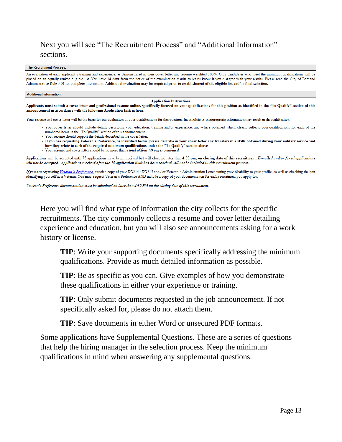#### Next you will see "The Recruitment Process" and "Additional Information" sections.

#### The Recruitment Process:

An evaluation of each applicant's training and experience, as demonstrated in their cover letter and resume weighted 100%. Only candidates who meet the minimum qualifications will be placed on an equally ranked eligible list. You have 14 days from the notice of the examination results to let us know if you disagree with your results. Please read the City of Portland Administrative Rule 3.01 for complete information. Additional evaluation may be required prior to establishment of the eligible list and/or final selection.

#### **Additional Information:**

#### **Application Instructions**

Applicants must submit a cover letter and professional resume online, specifically focused on your qualifications for this position as identified in the "To Qualify" section of this announcement in accordance with the following Application Instructions:

Your résumé and cover letter will be the basis for our evaluation of your qualifications for this position. Incomplete or inappropriate information may result in disqualification.

- · Your cover letter should include details describing your education, training and/or experience, and where obtained which clearly reflects your qualifications for each of the numbered items in the "To Qualify" section of this announcement.
- · Your résumé should support the details described in the cover letter.
- · If you are requesting Veteran's Preference, as identified below, please describe in your cover letter any transferrable skills obtained during your military service and how they relate to each of the required minimum qualifications under the "To Qualify" section above.
- · Your résumé and cover letter should be no more than a total of four (4) pages combined.

Applications will be accepted until 75 applications have been received but will close no later than 4:30 pm, on closing date of this recruitment. E-mailed and/or faxed applications will not be accepted. Applications received after the 75 application limit has been reached will not be included in this recruitment process.

If you are requesting Veteran's Preference, attach a copy of your DD214 / DD215 and / or Veteran's Administration Letter stating your disability to your profile, as well as checking the box identifying yourself as a Veteran. You must request Veteran's Preference AND include a copy of your documentation for each recruitment you apply for.

Veteran's Preference documentation must be submitted no later than 4:30 PM on the closing date of this recruitment.

Here you will find what type of information the city collects for the specific recruitments. The city commonly collects a resume and cover letter detailing experience and education, but you will also see announcements asking for a work history or license.

**TIP**: Write your supporting documents specifically addressing the minimum qualifications. Provide as much detailed information as possible.

**TIP**: Be as specific as you can. Give examples of how you demonstrate these qualifications in either your experience or training.

**TIP**: Only submit documents requested in the job announcement. If not specifically asked for, please do not attach them.

**TIP**: Save documents in either Word or unsecured PDF formats.

Some applications have Supplemental Questions. These are a series of questions that help the hiring manager in the selection process. Keep the minimum qualifications in mind when answering any supplemental questions.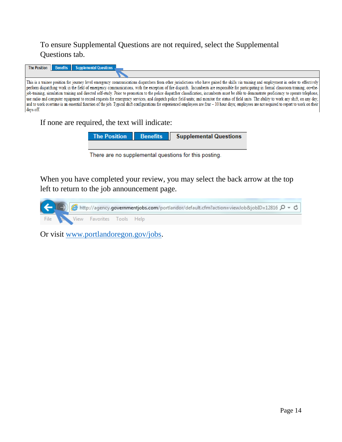#### To ensure Supplemental Questions are not required, select the Supplemental Questions tab.

| The Position Benefits Supplemental Questions                                                                                                                                                                                                                                                                                                                                                                                                                                                                                                                                                                                                                                                                                                                                                                                                                                                                                                                                                                |
|-------------------------------------------------------------------------------------------------------------------------------------------------------------------------------------------------------------------------------------------------------------------------------------------------------------------------------------------------------------------------------------------------------------------------------------------------------------------------------------------------------------------------------------------------------------------------------------------------------------------------------------------------------------------------------------------------------------------------------------------------------------------------------------------------------------------------------------------------------------------------------------------------------------------------------------------------------------------------------------------------------------|
|                                                                                                                                                                                                                                                                                                                                                                                                                                                                                                                                                                                                                                                                                                                                                                                                                                                                                                                                                                                                             |
| This is a trainee position for journey level emergency communications dispatchers from other jurisdictions who have gained the skills via training and employment in order to effectively<br>perform dispatching work in the field of emergency communications, with the exception of fire dispatch. Incumbents are responsible for participating in formal classroom training, on-the-<br>job-training, simulation training and directed self-study. Prior to promotion to the police dispatcher classification, incumbents must be able to demonstrate proficiency to operate telephone,<br>use radio and computer equipment to record requests for emergency services, and dispatch police field units; and monitor the status of field units. The ability to work any shift, on any day,<br>and to work overtime is an essential function of the job. Typical shift configurations for experienced employees are four -10 hour days; employees are not required to report to work on their<br>days off. |

#### If none are required, the text will indicate:

|  | The Position Benefits Supplemental Questions |
|--|----------------------------------------------|
|  |                                              |

There are no supplemental questions for this posting.

When you have completed your review, you may select the back arrow at the top left to return to the job announcement page.



Or visit [www.portlandoregon.gov/jobs.](http://www.portlandoregon.gov/jobs)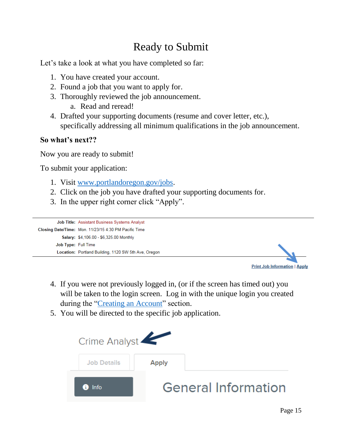## Ready to Submit

Let's take a look at what you have completed so far:

- 1. You have created your account.
- 2. Found a job that you want to apply for.
- 3. Thoroughly reviewed the job announcement.
	- a. Read and reread!
- 4. Drafted your supporting documents (resume and cover letter, etc.), specifically addressing all minimum qualifications in the job announcement.

#### **So what's next??**

Now you are ready to submit!

To submit your application:

- 1. Visit [www.portlandoregon.gov/jobs.](http://www.portlandoregon.gov/jobs)
- 2. Click on the job you have drafted your supporting documents for.
- 3. In the upper right corner click "Apply".



**Print Job Information | Apply** 

- 4. If you were not previously logged in, (or if the screen has timed out) you will be taken to the login screen. Log in with the unique login you created during the ["Creating an Account"](#page-2-0) section.
- 5. You will be directed to the specific job application.

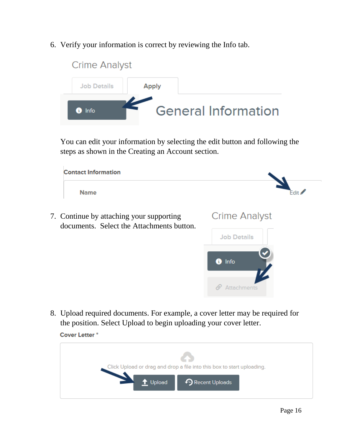6. Verify your information is correct by reviewing the Info tab.



You can edit your information by selecting the edit button and following the steps as shown in the Creating an Account section.

| <b>Contact Information</b>                                                            |                      |
|---------------------------------------------------------------------------------------|----------------------|
| <b>Name</b>                                                                           | Edit                 |
| 7. Continue by attaching your supporting<br>documents. Select the Attachments button. | <b>Crime Analyst</b> |
|                                                                                       | <b>Job Details</b>   |
|                                                                                       | $\bullet$ Info       |
|                                                                                       | Attachments          |
|                                                                                       |                      |

8. Upload required documents. For example, a cover letter may be required for the position. Select Upload to begin uploading your cover letter.

Cover Letter<sup>\*</sup>

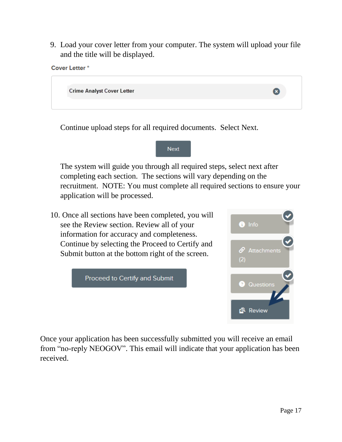9. Load your cover letter from your computer. The system will upload your file and the title will be displayed.



Continue upload steps for all required documents. Select Next.



The system will guide you through all required steps, select next after completing each section. The sections will vary depending on the recruitment. NOTE: You must complete all required sections to ensure your application will be processed.

10. Once all sections have been completed, you will see the Review section. Review all of your information for accuracy and completeness. Continue by selecting the Proceed to Certify and Submit button at the bottom right of the screen.





Once your application has been successfully submitted you will receive an email from "no-reply NEOGOV". This email will indicate that your application has been received.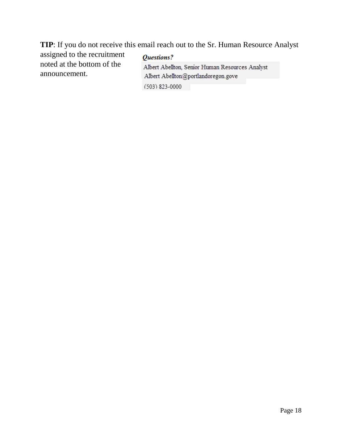**TIP**: If you do not receive this email reach out to the Sr. Human Resource Analyst

assigned to the recruitment noted at the bottom of the announcement.

#### Questions? Albert Abellton, Senior Human Resources Analyst Albert Abellton@portlandoregon.gove (503) 823-0000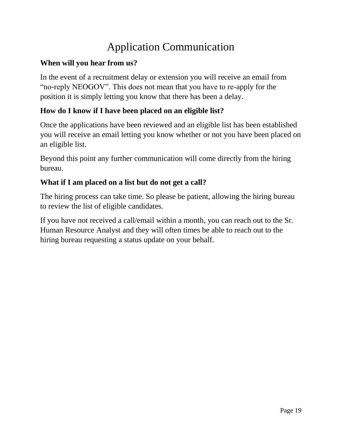# Application Communication

### **When will you hear from us?**

In the event of a recruitment delay or extension you will receive an email from "no-reply NEOGOV". This does not mean that you have to re-apply for the position it is simply letting you know that there has been a delay.

### **How do I know if I have been placed on an eligible list?**

Once the applications have been reviewed and an eligible list has been established you will receive an email letting you know whether or not you have been placed on an eligible list.

Beyond this point any further communication will come directly from the hiring bureau.

### **What if I am placed on a list but do not get a call?**

The hiring process can take time. So please be patient, allowing the hiring bureau to review the list of eligible candidates.

If you have not received a call/email within a month, you can reach out to the Sr. Human Resource Analyst and they will often times be able to reach out to the hiring bureau requesting a status update on your behalf.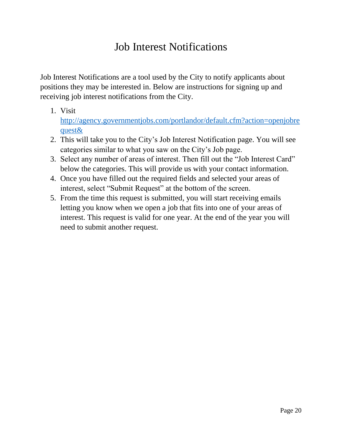### Job Interest Notifications

Job Interest Notifications are a tool used by the City to notify applicants about positions they may be interested in. Below are instructions for signing up and receiving job interest notifications from the City.

1. Visit

[http://agency.governmentjobs.com/portlandor/default.cfm?action=openjobre](http://agency.governmentjobs.com/portlandor/default.cfm?action=openjobrequest&) [quest&](http://agency.governmentjobs.com/portlandor/default.cfm?action=openjobrequest&)

- 2. This will take you to the City's Job Interest Notification page. You will see categories similar to what you saw on the City's Job page.
- 3. Select any number of areas of interest. Then fill out the "Job Interest Card" below the categories. This will provide us with your contact information.
- 4. Once you have filled out the required fields and selected your areas of interest, select "Submit Request" at the bottom of the screen.
- 5. From the time this request is submitted, you will start receiving emails letting you know when we open a job that fits into one of your areas of interest. This request is valid for one year. At the end of the year you will need to submit another request.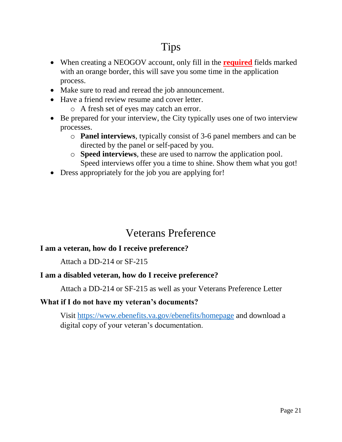### Tips

- When creating a NEOGOV account, only fill in the **required** fields marked with an orange border, this will save you some time in the application process.
- Make sure to read and reread the job announcement.
- Have a friend review resume and cover letter.
	- o A fresh set of eyes may catch an error.
- Be prepared for your interview, the City typically uses one of two interview processes.
	- o **Panel interviews**, typically consist of 3-6 panel members and can be directed by the panel or self-paced by you.
	- o **Speed interviews**, these are used to narrow the application pool. Speed interviews offer you a time to shine. Show them what you got!
- Dress appropriately for the job you are applying for!

### Veterans Preference

#### **I am a veteran, how do I receive preference?**

Attach a DD-214 or SF-215

#### **I am a disabled veteran, how do I receive preference?**

Attach a DD-214 or SF-215 as well as your Veterans Preference Letter

#### **What if I do not have my veteran's documents?**

Visit<https://www.ebenefits.va.gov/ebenefits/homepage> and download a digital copy of your veteran's documentation.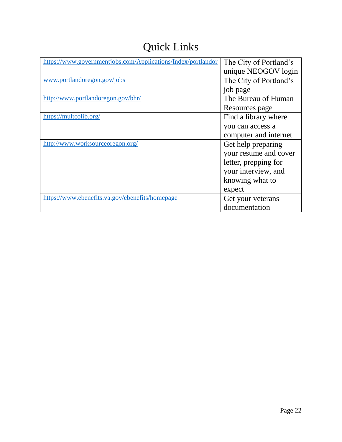# Quick Links

| https://www.governmentjobs.com/Applications/Index/portlandor | The City of Portland's |
|--------------------------------------------------------------|------------------------|
|                                                              | unique NEOGOV login    |
| www.portlandoregon.gov/jobs                                  | The City of Portland's |
|                                                              | job page               |
| http://www.portlandoregon.gov/bhr/                           | The Bureau of Human    |
|                                                              | Resources page         |
| https://multcolib.org/                                       | Find a library where   |
|                                                              | you can access a       |
|                                                              | computer and internet  |
| http://www.worksourceoregon.org/                             | Get help preparing     |
|                                                              | your resume and cover  |
|                                                              | letter, prepping for   |
|                                                              | your interview, and    |
|                                                              | knowing what to        |
|                                                              | expect                 |
| https://www.ebenefits.va.gov/ebenefits/homepage              | Get your veterans      |
|                                                              | documentation          |